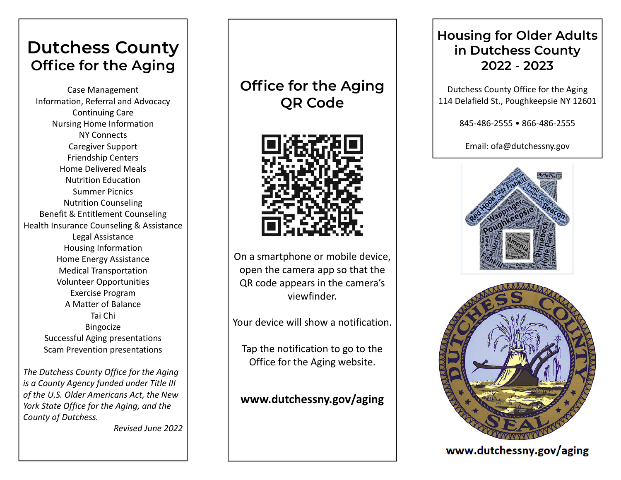### **Dutchess County Office for the Aging**

Case Management Information, Referral and Advocacy Continuing Care Nursing Home Information NY Connects Caregiver Support Friendship Centers Home Delivered Meals Nutrition Education Summer Picnics Nutrition Counseling Benefit & Entitlement Counseling Health Insurance Counseling & Assistance Legal Assistance Housing Information Home Energy Assistance Medical Transportation Volunteer Opportunities Exercise Program A Matter of Balance Tai Chi Bingocize Successful Aging presentations Scam Prevention presentations

*The Dutchess County Office for the Aging is a County Agency funded under Title III of the U.S. Older Americans Act, the New York State Office for the Aging, and the County of Dutchess.*

*Revised June 2022*

#### **Office for the Aging QR Code**



On a smartphone or mobile device, open the camera app so that the QR code appears in the camera's viewfinder.

Your device will show a notification.

Tap the notification to go to the Office for the Aging website.

#### **www.dutchessny.gov/aging**

#### **Housing for Older Adults in Dutchess County 2022 - 2023**

Dutchess County Office for the Aging 114 Delafield St., Poughkeepsie NY 12601

845-486-2555 • 866-486-2555

Email: ofa@dutchessny.gov





www.dutchessny.gov/aging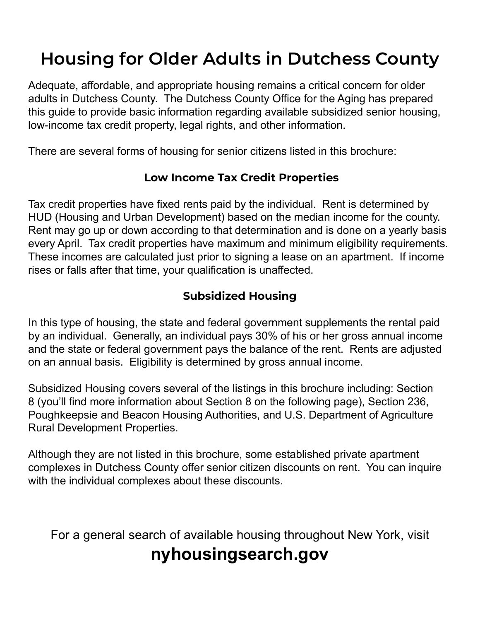# **Housing for Older Adults in Dutchess County**

Adequate, affordable, and appropriate housing remains a critical concern for older adults in Dutchess County. The Dutchess County Office for the Aging has prepared this guide to provide basic information regarding available subsidized senior housing, low-income tax credit property, legal rights, and other information.

There are several forms of housing for senior citizens listed in this brochure:

#### **Low Income Tax Credit Properties**

Tax credit properties have fixed rents paid by the individual. Rent is determined by HUD (Housing and Urban Development) based on the median income for the county. Rent may go up or down according to that determination and is done on a yearly basis every April. Tax credit properties have maximum and minimum eligibility requirements. These incomes are calculated just prior to signing a lease on an apartment. If income rises or falls after that time, your qualification is unaffected.

#### **Subsidized Housing**

In this type of housing, the state and federal government supplements the rental paid by an individual. Generally, an individual pays 30% of his or her gross annual income and the state or federal government pays the balance of the rent. Rents are adjusted on an annual basis. Eligibility is determined by gross annual income.

Subsidized Housing covers several of the listings in this brochure including: Section 8 (you'll find more information about Section 8 on the following page), Section 236, Poughkeepsie and Beacon Housing Authorities, and U.S. Department of Agriculture Rural Development Properties.

Although they are not listed in this brochure, some established private apartment complexes in Dutchess County offer senior citizen discounts on rent. You can inquire with the individual complexes about these discounts.

For a general search of available housing throughout New York, visit **nyhousingsearch.gov**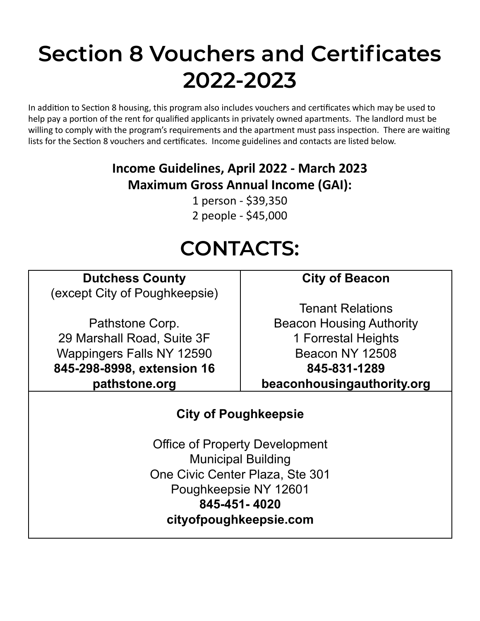# **Section 8 Vouchers and Certificates 2022-2023**

In addition to Section 8 housing, this program also includes vouchers and certificates which may be used to help pay a portion of the rent for qualified applicants in privately owned apartments. The landlord must be willing to comply with the program's requirements and the apartment must pass inspection. There are waiting lists for the Section 8 vouchers and certificates. Income guidelines and contacts are listed below.

#### **Income Guidelines, April 2022 - March 2023 Maximum Gross Annual Income (GAI):**

1 person - \$39,350 2 people - \$45,000

# **CONTACTS:**

**Dutchess County** (except City of Poughkeepsie)

Pathstone Corp. 29 Marshall Road, Suite 3F Wappingers Falls NY 12590 **845-298-8998, extension 16 pathstone.org**

**City of Beacon**

Tenant Relations Beacon Housing Authority 1 Forrestal Heights Beacon NY 12508 **845-831-1289 beaconhousingauthority.org**

#### **City of Poughkeepsie**

Office of Property Development Municipal Building One Civic Center Plaza, Ste 301 Poughkeepsie NY 12601 **845-451- 4020 cityofpoughkeepsie.com**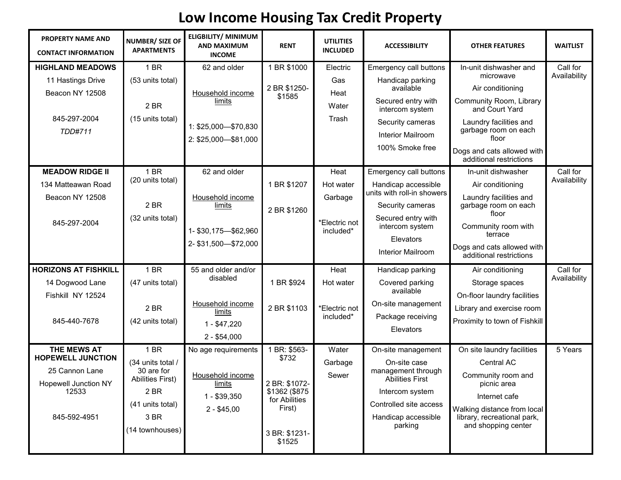| <b>PROPERTY NAME AND</b><br><b>CONTACT INFORMATION</b>                                                                                                                 | NUMBER/ SIZE OF<br><b>APARTMENTS</b>                                                                               | <b>ELIGBILITY/ MINIMUM</b><br><b>AND MAXIMUM</b><br><b>INCOME</b>                                                                                                                           | <b>RENT</b>                                                                                                    | <b>UTILITIES</b><br><b>INCLUDED</b>                                                                           | <b>ACCESSIBILITY</b>                                                                                                                                                                                                                                                                          | <b>OTHER FEATURES</b>                                                                                                                                                                                                                                                                                                           | <b>WAITLIST</b>                                      |
|------------------------------------------------------------------------------------------------------------------------------------------------------------------------|--------------------------------------------------------------------------------------------------------------------|---------------------------------------------------------------------------------------------------------------------------------------------------------------------------------------------|----------------------------------------------------------------------------------------------------------------|---------------------------------------------------------------------------------------------------------------|-----------------------------------------------------------------------------------------------------------------------------------------------------------------------------------------------------------------------------------------------------------------------------------------------|---------------------------------------------------------------------------------------------------------------------------------------------------------------------------------------------------------------------------------------------------------------------------------------------------------------------------------|------------------------------------------------------|
| <b>HIGHLAND MEADOWS</b><br>11 Hastings Drive<br>Beacon NY 12508<br>845-297-2004<br>TDD#711                                                                             | 1 BR<br>(53 units total)<br>2 BR<br>(15 units total)                                                               | 62 and older<br>Household income<br>limits<br>1: \$25,000-\$70,830<br>2: \$25,000 - \$81,000                                                                                                | 1 BR \$1000<br>2 BR \$1250-<br>\$1585                                                                          | Electric<br>Gas<br>Heat<br>Water<br>Trash                                                                     | Emergency call buttons<br>Handicap parking<br>available<br>Secured entry with<br>intercom system<br>Security cameras<br><b>Interior Mailroom</b><br>100% Smoke free                                                                                                                           | In-unit dishwasher and<br>microwave<br>Air conditioning<br>Community Room, Library<br>and Court Yard<br>Laundry facilities and<br>garbage room on each<br>floor<br>Dogs and cats allowed with<br>additional restrictions                                                                                                        | Call for<br>Availability                             |
| <b>MEADOW RIDGE II</b><br>134 Matteawan Road<br>Beacon NY 12508<br>845-297-2004<br><b>HORIZONS AT FISHKILL</b><br>14 Dogwood Lane<br>Fishkill NY 12524<br>845-440-7678 | 1 BR<br>(20 units total)<br>2 BR<br>(32 units total)<br>1 BR<br>(47 units total)<br>2 BR<br>(42 units total)       | 62 and older<br>Household income<br>limits<br>1-\$30,175-\$62,960<br>2-\$31,500-\$72,000<br>55 and older and/or<br>disabled<br>Household income<br>limits<br>$1 - $47,220$<br>$2 - $54,000$ | 1 BR \$1207<br>2 BR \$1260<br>1 BR \$924<br>2 BR \$1103                                                        | Heat<br>Hot water<br>Garbage<br>*Electric not<br>included*<br>Heat<br>Hot water<br>*Electric not<br>included* | Emergency call buttons<br>Handicap accessible<br>units with roll-in showers<br>Security cameras<br>Secured entry with<br>intercom system<br>Elevators<br><b>Interior Mailroom</b><br>Handicap parking<br>Covered parking<br>available<br>On-site management<br>Package receiving<br>Elevators | In-unit dishwasher<br>Air conditioning<br>Laundry facilities and<br>garbage room on each<br>floor<br>Community room with<br>terrace<br>Dogs and cats allowed with<br>additional restrictions<br>Air conditioning<br>Storage spaces<br>On-floor laundry facilities<br>Library and exercise room<br>Proximity to town of Fishkill | Call for<br>Availability<br>Call for<br>Availability |
| THE MEWS AT<br><b>HOPEWELL JUNCTION</b><br>25 Cannon Lane<br><b>Hopewell Junction NY</b><br>12533<br>845-592-4951                                                      | 1 BR<br>(34 units total /<br>30 are for<br>Abilities First)<br>2 BR<br>(41 units total)<br>3 BR<br>(14 townhouses) | No age requirements<br>Household income<br>limits<br>1 - \$39,350<br>$2 - $45,00$                                                                                                           | 1 BR: \$563-<br>\$732<br>2 BR: \$1072-<br>\$1362 (\$875)<br>for Abilities<br>First)<br>3 BR: \$1231-<br>\$1525 | Water<br>Garbage<br>Sewer                                                                                     | On-site management<br>On-site case<br>management through<br><b>Abilities First</b><br>Intercom system<br>Controlled site access<br>Handicap accessible<br>parking                                                                                                                             | On site laundry facilities<br>Central AC<br>Community room and<br>picnic area<br>Internet cafe<br>Walking distance from local<br>library, recreational park,<br>and shopping center                                                                                                                                             | 5 Years                                              |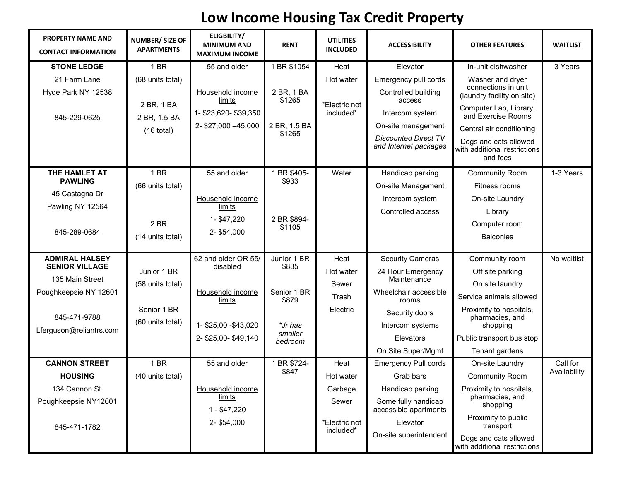| <b>PROPERTY NAME AND</b><br><b>CONTACT INFORMATION</b>                                                                                | NUMBER/ SIZE OF<br><b>APARTMENTS</b>                               | ELIGBILITY/<br><b>MINIMUM AND</b><br><b>MAXIMUM INCOME</b>                                                  | <b>RENT</b>                                                                   | <b>UTILITIES</b><br><b>INCLUDED</b>                                 | <b>ACCESSIBILITY</b>                                                                                                                                                          | <b>OTHER FEATURES</b>                                                                                                                                                                                                  | <b>WAITLIST</b>          |
|---------------------------------------------------------------------------------------------------------------------------------------|--------------------------------------------------------------------|-------------------------------------------------------------------------------------------------------------|-------------------------------------------------------------------------------|---------------------------------------------------------------------|-------------------------------------------------------------------------------------------------------------------------------------------------------------------------------|------------------------------------------------------------------------------------------------------------------------------------------------------------------------------------------------------------------------|--------------------------|
| <b>STONE LEDGE</b>                                                                                                                    | 1 BR                                                               | 55 and older                                                                                                | 1 BR \$1054                                                                   | Heat                                                                | Elevator                                                                                                                                                                      | In-unit dishwasher                                                                                                                                                                                                     | 3 Years                  |
| 21 Farm Lane<br>Hyde Park NY 12538<br>845-229-0625                                                                                    | (68 units total)<br>2 BR, 1 BA<br>2 BR, 1.5 BA<br>$(16$ total)     | Household income<br>limits<br>1-\$23,620-\$39,350<br>2-\$27,000 -45,000                                     | 2 BR, 1 BA<br>\$1265<br>2 BR, 1.5 BA<br>\$1265                                | Hot water<br>*Electric not<br>included*                             | Emergency pull cords<br>Controlled building<br>access<br>Intercom system<br>On-site management<br><b>Discounted Direct TV</b><br>and Internet packages                        | Washer and dryer<br>connections in unit<br>(laundry facility on site)<br>Computer Lab, Library,<br>and Exercise Rooms<br>Central air conditioning<br>Dogs and cats allowed<br>with additional restrictions<br>and fees |                          |
| THE HAMLET AT<br><b>PAWLING</b><br>45 Castagna Dr<br>Pawling NY 12564<br>845-289-0684                                                 | 1 BR<br>(66 units total)<br>2 BR<br>(14 units total)               | 55 and older<br>Household income<br>limits<br>1-\$47,220<br>2-\$54,000                                      | 1 BR \$405-<br>\$933<br>2 BR \$894-<br>\$1105                                 | Water                                                               | Handicap parking<br>On-site Management<br>Intercom system<br>Controlled access                                                                                                | <b>Community Room</b><br>Fitness rooms<br>On-site Laundry<br>Library<br>Computer room<br><b>Balconies</b>                                                                                                              | 1-3 Years                |
| <b>ADMIRAL HALSEY</b><br><b>SENIOR VILLAGE</b><br>135 Main Street<br>Poughkeepsie NY 12601<br>845-471-9788<br>Lferguson@reliantrs.com | Junior 1 BR<br>(58 units total)<br>Senior 1 BR<br>(60 units total) | 62 and older OR 55/<br>disabled<br>Household income<br>limits<br>1-\$25,00 - \$43,020<br>2-\$25,00-\$49,140 | Junior 1 BR<br>\$835<br>Senior 1 BR<br>\$879<br>*Jr has<br>smaller<br>bedroom | Heat<br>Hot water<br>Sewer<br>Trash<br>Electric                     | <b>Security Cameras</b><br>24 Hour Emergency<br>Maintenance<br>Wheelchair accessible<br>rooms<br>Security doors<br>Intercom systems<br><b>Elevators</b><br>On Site Super/Mgmt | Community room<br>Off site parking<br>On site laundry<br>Service animals allowed<br>Proximity to hospitals,<br>pharmacies, and<br>shopping<br>Public transport bus stop<br>Tenant gardens                              | No waitlist              |
| <b>CANNON STREET</b><br><b>HOUSING</b><br>134 Cannon St.<br>Poughkeepsie NY12601<br>845-471-1782                                      | 1 BR<br>(40 units total)                                           | 55 and older<br>Household income<br>limits<br>$1 - $47,220$<br>2-\$54,000                                   | 1 BR \$724-<br>\$847                                                          | Heat<br>Hot water<br>Garbage<br>Sewer<br>*Electric not<br>included* | <b>Emergency Pull cords</b><br>Grab bars<br>Handicap parking<br>Some fully handicap<br>accessible apartments<br>Elevator<br>On-site superintendent                            | On-site Laundry<br><b>Community Room</b><br>Proximity to hospitals,<br>pharmacies, and<br>shopping<br>Proximity to public<br>transport<br>Dogs and cats allowed<br>with additional restrictions                        | Call for<br>Availability |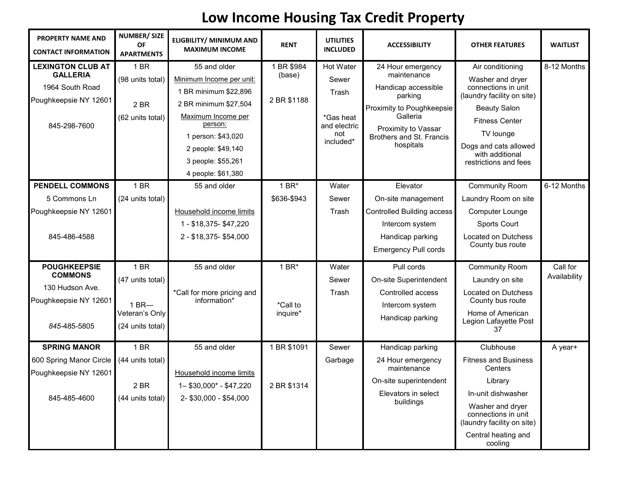| PROPERTY NAME AND<br><b>CONTACT INFORMATION</b>                                                         | <b>NUMBER/SIZE</b><br><b>OF</b><br><b>APARTMENTS</b>                         | ELIGBILITY/ MINIMUM AND<br><b>MAXIMUM INCOME</b>                                                                                                                                                                    | <b>RENT</b>                         | <b>UTILITIES</b><br><b>INCLUDED</b>                                                 | <b>ACCESSIBILITY</b>                                                                                                                                                        | <b>OTHER FEATURES</b>                                                                                                                                                                                                       | <b>WAITLIST</b>          |
|---------------------------------------------------------------------------------------------------------|------------------------------------------------------------------------------|---------------------------------------------------------------------------------------------------------------------------------------------------------------------------------------------------------------------|-------------------------------------|-------------------------------------------------------------------------------------|-----------------------------------------------------------------------------------------------------------------------------------------------------------------------------|-----------------------------------------------------------------------------------------------------------------------------------------------------------------------------------------------------------------------------|--------------------------|
| <b>LEXINGTON CLUB AT</b><br><b>GALLERIA</b><br>1964 South Road<br>Poughkeepsie NY 12601<br>845-298-7600 | 1 BR<br>(98 units total)<br>2 BR<br>(62 units total)                         | 55 and older<br>Minimum Income per unit:<br>1 BR minimum \$22,896<br>2 BR minimum \$27,504<br>Maximum Income per<br>person:<br>1 person: \$43,020<br>2 people: \$49,140<br>3 people: \$55,261<br>4 people: \$61,380 | 1 BR \$984<br>(base)<br>2 BR \$1188 | <b>Hot Water</b><br>Sewer<br>Trash<br>*Gas heat<br>and electric<br>not<br>included* | 24 Hour emergency<br>maintenance<br>Handicap accessible<br>parking<br>Proximity to Poughkeepsie<br>Galleria<br>Proximity to Vassar<br>Brothers and St. Francis<br>hospitals | Air conditioning<br>Washer and dryer<br>connections in unit<br>(laundry facility on site)<br><b>Beauty Salon</b><br><b>Fitness Center</b><br>TV lounge<br>Dogs and cats allowed<br>with additional<br>restrictions and fees | 8-12 Months              |
| <b>PENDELL COMMONS</b>                                                                                  | 1 BR                                                                         | 55 and older                                                                                                                                                                                                        | $1 BR*$                             | Water                                                                               | Elevator                                                                                                                                                                    | <b>Community Room</b>                                                                                                                                                                                                       | 6-12 Months              |
| 5 Commons Ln                                                                                            | (24 units total)                                                             |                                                                                                                                                                                                                     | \$636-\$943                         | Sewer                                                                               | On-site management                                                                                                                                                          | Laundry Room on site                                                                                                                                                                                                        |                          |
| Poughkeepsie NY 12601                                                                                   |                                                                              | Household income limits                                                                                                                                                                                             |                                     | Trash                                                                               | <b>Controlled Building access</b>                                                                                                                                           | Computer Lounge                                                                                                                                                                                                             |                          |
|                                                                                                         |                                                                              | 1 - \$18,375- \$47,220                                                                                                                                                                                              |                                     |                                                                                     | Intercom system                                                                                                                                                             | Sports Court                                                                                                                                                                                                                |                          |
| 845-486-4588                                                                                            |                                                                              | 2 - \$18,375 - \$54,000                                                                                                                                                                                             |                                     |                                                                                     | Handicap parking                                                                                                                                                            | <b>Located on Dutchess</b>                                                                                                                                                                                                  |                          |
|                                                                                                         |                                                                              |                                                                                                                                                                                                                     |                                     |                                                                                     | <b>Emergency Pull cords</b>                                                                                                                                                 | County bus route                                                                                                                                                                                                            |                          |
| <b>POUGHKEEPSIE</b><br><b>COMMONS</b><br>130 Hudson Ave.<br>Poughkeepsie NY 12601<br>845-485-5805       | 1 BR<br>(47 units total)<br>$1$ BR $-$<br>Veteran's Only<br>(24 units total) | 55 and older<br>*Call for more pricing and<br>information*                                                                                                                                                          | $1 BR*$<br>*Call to<br>inquire*     | Water<br>Sewer<br>Trash                                                             | Pull cords<br>On-site Superintendent<br>Controlled access<br>Intercom system<br>Handicap parking                                                                            | <b>Community Room</b><br>Laundry on site<br><b>Located on Dutchess</b><br>County bus route<br>Home of American<br>Legion Lafayette Post<br>37                                                                               | Call for<br>Availability |
| <b>SPRING MANOR</b>                                                                                     | 1 BR                                                                         | 55 and older                                                                                                                                                                                                        | 1 BR \$1091                         | Sewer                                                                               | Handicap parking                                                                                                                                                            | Clubhouse                                                                                                                                                                                                                   | A year+                  |
| 600 Spring Manor Circle                                                                                 | (44 units total)                                                             |                                                                                                                                                                                                                     |                                     | Garbage                                                                             | 24 Hour emergency                                                                                                                                                           | <b>Fitness and Business</b>                                                                                                                                                                                                 |                          |
| Poughkeepsie NY 12601                                                                                   |                                                                              | Household income limits                                                                                                                                                                                             |                                     |                                                                                     | maintenance                                                                                                                                                                 | Centers                                                                                                                                                                                                                     |                          |
|                                                                                                         | 2 BR                                                                         | 1- \$30,000* - \$47,220                                                                                                                                                                                             | 2 BR \$1314                         |                                                                                     | On-site superintendent<br>Elevators in select                                                                                                                               | Library<br>In-unit dishwasher                                                                                                                                                                                               |                          |
| 845-485-4600                                                                                            | (44 units total)                                                             | 2-\$30,000 - \$54,000                                                                                                                                                                                               |                                     |                                                                                     | buildings                                                                                                                                                                   | Washer and dryer<br>connections in unit<br>(laundry facility on site)                                                                                                                                                       |                          |
|                                                                                                         |                                                                              |                                                                                                                                                                                                                     |                                     |                                                                                     |                                                                                                                                                                             | Central heating and<br>cooling                                                                                                                                                                                              |                          |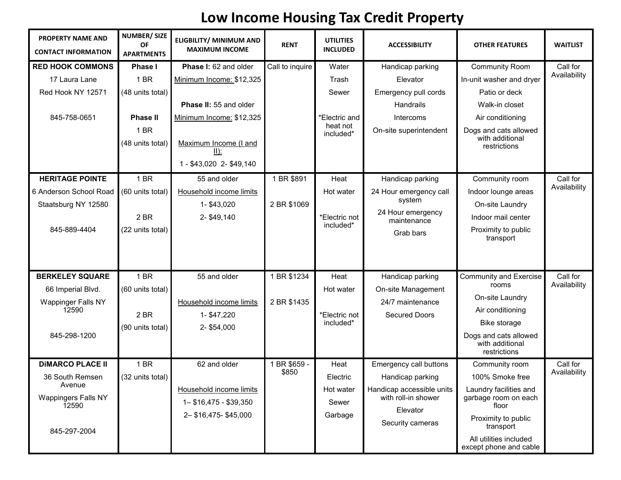| PROPERTY NAME AND<br><b>CONTACT INFORMATION</b>                                                             | <b>NUMBER/SIZE</b><br><b>OF</b><br><b>APARTMENTS</b>                                      | <b>ELIGBILITY/ MINIMUM AND</b><br><b>MAXIMUM INCOME</b>                                                                          | <b>RENT</b>                | <b>UTILITIES</b><br><b>INCLUDED</b>                               | <b>ACCESSIBILITY</b>                                                                                                           | <b>OTHER FEATURES</b>                                                                                                                                                                | <b>WAITLIST</b>          |
|-------------------------------------------------------------------------------------------------------------|-------------------------------------------------------------------------------------------|----------------------------------------------------------------------------------------------------------------------------------|----------------------------|-------------------------------------------------------------------|--------------------------------------------------------------------------------------------------------------------------------|--------------------------------------------------------------------------------------------------------------------------------------------------------------------------------------|--------------------------|
| <b>RED HOOK COMMONS</b><br>17 Laura Lane<br>Red Hook NY 12571<br>845-758-0651                               | <b>Phase I</b><br>1 BR<br>(48 units total)<br><b>Phase II</b><br>1 BR<br>(48 units total) | Phase I: 62 and older<br>Minimum Income: \$12,325<br>Phase II: 55 and older<br>Minimum Income: \$12,325<br>Maximum Income (I and | Call to inquire            | Water<br>Trash<br>Sewer<br>*Electric and<br>heat not<br>included* | Handicap parking<br>Elevator<br>Emergency pull cords<br><b>Handrails</b><br>Intercoms<br>On-site superintendent                | <b>Community Room</b><br>In-unit washer and dryer<br>Patio or deck<br>Walk-in closet<br>Air conditioning<br>Dogs and cats allowed<br>with additional                                 | Call for<br>Availability |
| <b>HERITAGE POINTE</b><br>6 Anderson School Road<br>Staatsburg NY 12580<br>845-889-4404                     | 1 BR<br>(60 units total)<br>2 BR<br>(22 units total)                                      | $\parallel$ ):<br>1 - \$43,020 2- \$49,140<br>55 and older<br>Household income limits<br>1-\$43,020<br>2-\$49,140                | 1 BR \$891<br>2 BR \$1069  | Heat<br>Hot water<br>*Electric not<br>included*                   | Handicap parking<br>24 Hour emergency call<br>system<br>24 Hour emergency<br>maintenance<br>Grab bars                          | restrictions<br>Community room<br>Indoor lounge areas<br>On-site Laundry<br>Indoor mail center<br>Proximity to public<br>transport                                                   | Call for<br>Availability |
| <b>BERKELEY SQUARE</b><br>66 Imperial Blvd.<br><b>Wappinger Falls NY</b><br>12590<br>845-298-1200           | 1 BR<br>(60 units total)<br>2 BR<br>(90 units total)                                      | 55 and older<br>Household income limits<br>1-\$47,220<br>2-\$54,000                                                              | 1 BR \$1234<br>2 BR \$1435 | Heat<br>Hot water<br>*Electric not<br>included*                   | Handicap parking<br>On-site Management<br>24/7 maintenance<br><b>Secured Doors</b>                                             | <b>Community and Exercise</b><br>rooms<br>On-site Laundry<br>Air conditioning<br>Bike storage<br>Dogs and cats allowed<br>with additional<br>restrictions                            | Call for<br>Availability |
| <b>DIMARCO PLACE II</b><br>36 South Remsen<br>Avenue<br><b>Wappingers Falls NY</b><br>12590<br>845-297-2004 | 1 BR<br>(32 units total)                                                                  | 62 and older<br>Household income limits<br>1-\$16,475 - \$39,350<br>2-\$16,475-\$45,000                                          | 1 BR \$659 -<br>\$850      | Heat<br>Electric<br>Hot water<br>Sewer<br>Garbage                 | Emergency call buttons<br>Handicap parking<br>Handicap accessible units<br>with roll-in shower<br>Elevator<br>Security cameras | Community room<br>100% Smoke free<br>Laundry facilities and<br>garbage room on each<br>floor<br>Proximity to public<br>transport<br>All utilities included<br>except phone and cable | Call for<br>Availability |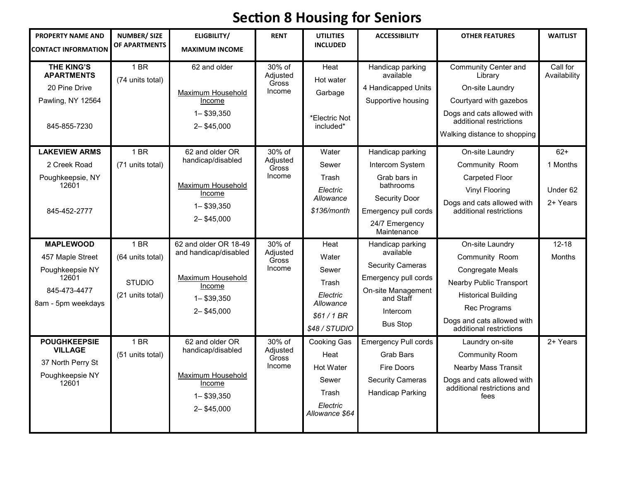# **Section 8 Housing for Seniors**

| <b>PROPERTY NAME AND</b><br><b>CONTACT INFORMATION</b>                                                 | <b>NUMBER/SIZE</b><br>OF APARTMENTS                           | ELIGBILITY/<br><b>MAXIMUM INCOME</b>                                                                            | <b>RENT</b>                              | <b>UTILITIES</b><br><b>INCLUDED</b>                                                     | <b>ACCESSIBILITY</b>                                                                                                                               | <b>OTHER FEATURES</b>                                                                                                                                                                   | <b>WAITLIST</b>                           |
|--------------------------------------------------------------------------------------------------------|---------------------------------------------------------------|-----------------------------------------------------------------------------------------------------------------|------------------------------------------|-----------------------------------------------------------------------------------------|----------------------------------------------------------------------------------------------------------------------------------------------------|-----------------------------------------------------------------------------------------------------------------------------------------------------------------------------------------|-------------------------------------------|
| <b>THE KING'S</b><br><b>APARTMENTS</b><br>20 Pine Drive<br>Pawling, NY 12564<br>845-855-7230           | 1 BR<br>(74 units total)                                      | 62 and older<br>Maximum Household<br>Income<br>$1 - $39,350$<br>$2 - $45,000$                                   | 30% of<br>Adjusted<br>Gross<br>Income    | Heat<br>Hot water<br>Garbage<br>*Electric Not<br>included*                              | Handicap parking<br>available<br>4 Handicapped Units<br>Supportive housing                                                                         | <b>Community Center and</b><br>Library<br>On-site Laundry<br>Courtyard with gazebos<br>Dogs and cats allowed with<br>additional restrictions<br>Walking distance to shopping            | Call for<br>Availability                  |
| <b>LAKEVIEW ARMS</b><br>2 Creek Road<br>Poughkeepsie, NY<br>12601<br>845-452-2777                      | 1 BR<br>(71 units total)                                      | 62 and older OR<br>handicap/disabled<br>Maximum Household<br>Income<br>$1 - $39,350$<br>$2 - $45,000$           | 30% of<br>Adjusted<br>Gross<br>Income    | Water<br>Sewer<br>Trash<br>Electric<br>Allowance<br>\$136/month                         | Handicap parking<br>Intercom System<br>Grab bars in<br>bathrooms<br>Security Door<br>Emergency pull cords<br>24/7 Emergency<br>Maintenance         | On-site Laundry<br>Community Room<br>Carpeted Floor<br><b>Vinyl Flooring</b><br>Dogs and cats allowed with<br>additional restrictions                                                   | $62+$<br>1 Months<br>Under 62<br>2+ Years |
| <b>MAPLEWOOD</b><br>457 Maple Street<br>Poughkeepsie NY<br>12601<br>845-473-4477<br>8am - 5pm weekdays | 1 BR<br>(64 units total)<br><b>STUDIO</b><br>(21 units total) | 62 and older OR 18-49<br>and handicap/disabled<br>Maximum Household<br>Income<br>$1 - $39,350$<br>$2 - $45,000$ | 30% of<br>Adjusted<br>Gross<br>Income    | Heat<br>Water<br>Sewer<br>Trash<br>Electric<br>Allowance<br>\$61/1 BR<br>\$48 / STUDIO  | Handicap parking<br>available<br><b>Security Cameras</b><br>Emergency pull cords<br>On-site Management<br>and Staff<br>Intercom<br><b>Bus Stop</b> | On-site Laundry<br>Community Room<br>Congregate Meals<br>Nearby Public Transport<br><b>Historical Building</b><br>Rec Programs<br>Dogs and cats allowed with<br>additional restrictions | $12 - 18$<br><b>Months</b>                |
| <b>POUGHKEEPSIE</b><br><b>VILLAGE</b><br>37 North Perry St<br>Poughkeepsie NY<br>12601                 | 1 BR<br>(51 units total)                                      | 62 and older OR<br>handicap/disabled<br>Maximum Household<br>Income<br>$1 - $39,350$<br>$2 - $45,000$           | $30\%$ of<br>Adjusted<br>Gross<br>Income | Cooking Gas<br>Heat<br><b>Hot Water</b><br>Sewer<br>Trash<br>Electric<br>Allowance \$64 | <b>Emergency Pull cords</b><br><b>Grab Bars</b><br><b>Fire Doors</b><br><b>Security Cameras</b><br>Handicap Parking                                | Laundry on-site<br><b>Community Room</b><br><b>Nearby Mass Transit</b><br>Dogs and cats allowed with<br>additional restrictions and<br>fees                                             | 2+ Years                                  |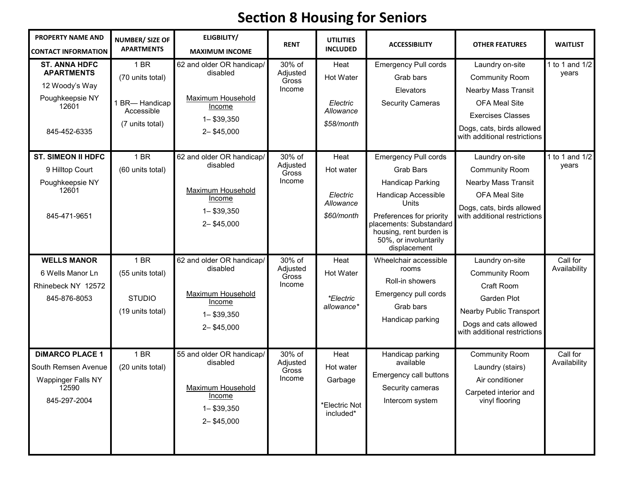# **Section 8 Housing for Seniors**

| PROPERTY NAME AND<br><b>CONTACT INFORMATION</b>                                                         | NUMBER/SIZE OF<br><b>APARTMENTS</b>                                        | ELIGBILITY/<br><b>MAXIMUM INCOME</b>                                                                          | <b>RENT</b>                           | <b>UTILITIES</b><br><b>INCLUDED</b>                        | <b>ACCESSIBILITY</b>                                                                                                                                                                                                                  | <b>OTHER FEATURES</b>                                                                                                                                                                   | <b>WAITLIST</b>          |
|---------------------------------------------------------------------------------------------------------|----------------------------------------------------------------------------|---------------------------------------------------------------------------------------------------------------|---------------------------------------|------------------------------------------------------------|---------------------------------------------------------------------------------------------------------------------------------------------------------------------------------------------------------------------------------------|-----------------------------------------------------------------------------------------------------------------------------------------------------------------------------------------|--------------------------|
| <b>ST. ANNA HDFC</b><br><b>APARTMENTS</b><br>12 Woody's Way<br>Poughkeepsie NY<br>12601<br>845-452-6335 | 1 BR<br>(70 units total)<br>1 BR-Handicap<br>Accessible<br>(7 units total) | 62 and older OR handicap/<br>disabled<br>Maximum Household<br>Income<br>$1 - $39,350$<br>$2 - $45,000$        | 30% of<br>Adjusted<br>Gross<br>Income | Heat<br>Hot Water<br>Electric<br>Allowance<br>\$58/month   | <b>Emergency Pull cords</b><br>Grab bars<br>Elevators<br><b>Security Cameras</b>                                                                                                                                                      | Laundry on-site<br><b>Community Room</b><br><b>Nearby Mass Transit</b><br><b>OFA Meal Site</b><br><b>Exercises Classes</b><br>Dogs, cats, birds allowed<br>with additional restrictions | 1 to 1 and 1/2<br>years  |
| <b>ST. SIMEON II HDFC</b><br>9 Hilltop Court<br>Poughkeepsie NY<br>12601<br>845-471-9651                | 1 BR<br>(60 units total)                                                   | 62 and older OR handicap/<br>disabled<br>Maximum Household<br>Income<br>$1 - $39,350$<br>$2 - $45,000$        | 30% of<br>Adjusted<br>Gross<br>Income | Heat<br>Hot water<br>Electric<br>Allowance<br>\$60/month   | <b>Emergency Pull cords</b><br><b>Grab Bars</b><br>Handicap Parking<br><b>Handicap Accessible</b><br>Units<br>Preferences for priority<br>placements: Substandard<br>housing, rent burden is<br>50%, or involuntarily<br>displacement | Laundry on-site<br><b>Community Room</b><br><b>Nearby Mass Transit</b><br><b>OFA Meal Site</b><br>Dogs, cats, birds allowed<br>with additional restrictions                             | 1 to 1 and 1/2<br>years  |
| <b>WELLS MANOR</b><br>6 Wells Manor Ln<br>Rhinebeck NY 12572<br>845-876-8053                            | 1 BR<br>(55 units total)<br><b>STUDIO</b><br>(19 units total)              | 62 and older OR handicap/<br>disabled<br><b>Maximum Household</b><br>Income<br>$1 - $39,350$<br>$2 - $45,000$ | 30% of<br>Adjusted<br>Gross<br>Income | Heat<br>Hot Water<br>*Electric<br>allowance*               | Wheelchair accessible<br>rooms<br>Roll-in showers<br>Emergency pull cords<br>Grab bars<br>Handicap parking                                                                                                                            | Laundry on-site<br><b>Community Room</b><br>Craft Room<br>Garden Plot<br>Nearby Public Transport<br>Dogs and cats allowed<br>with additional restrictions                               | Call for<br>Availability |
| <b>DIMARCO PLACE 1</b><br>South Remsen Avenue<br>Wappinger Falls NY<br>12590<br>845-297-2004            | 1 BR<br>(20 units total)                                                   | 55 and older OR handicap/<br>disabled<br>Maximum Household<br>Income<br>$1 - $39,350$<br>$2 - $45,000$        | 30% of<br>Adjusted<br>Gross<br>Income | Heat<br>Hot water<br>Garbage<br>*Electric Not<br>included* | Handicap parking<br>available<br>Emergency call buttons<br>Security cameras<br>Intercom system                                                                                                                                        | <b>Community Room</b><br>Laundry (stairs)<br>Air conditioner<br>Carpeted interior and<br>vinyl flooring                                                                                 | Call for<br>Availability |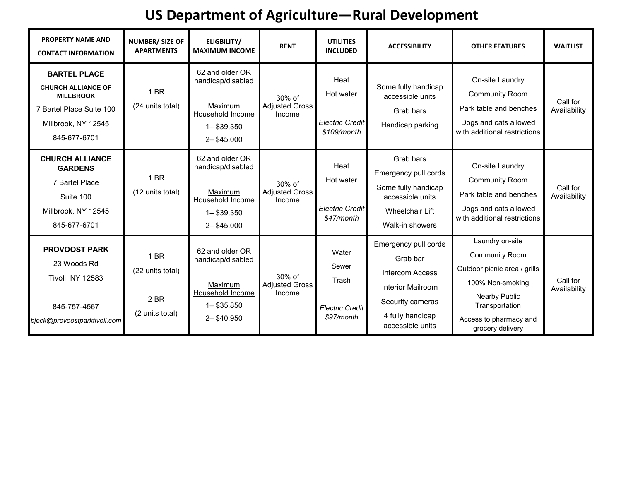# **US Department of Agriculture—Rural Development**

| <b>PROPERTY NAME AND</b><br><b>CONTACT INFORMATION</b>                                                                                  | NUMBER/ SIZE OF<br><b>APARTMENTS</b>                | ELIGBILITY/<br><b>MAXIMUM INCOME</b>                                                                  | <b>RENT</b>                                  | <b>UTILITIES</b><br><b>INCLUDED</b>                             | <b>ACCESSIBILITY</b>                                                                                                                               | <b>OTHER FEATURES</b>                                                                                                                                                                | <b>WAITLIST</b>          |
|-----------------------------------------------------------------------------------------------------------------------------------------|-----------------------------------------------------|-------------------------------------------------------------------------------------------------------|----------------------------------------------|-----------------------------------------------------------------|----------------------------------------------------------------------------------------------------------------------------------------------------|--------------------------------------------------------------------------------------------------------------------------------------------------------------------------------------|--------------------------|
| <b>BARTEL PLACE</b><br><b>CHURCH ALLIANCE OF</b><br><b>MILLBROOK</b><br>7 Bartel Place Suite 100<br>Millbrook, NY 12545<br>845-677-6701 | 1 BR<br>(24 units total)                            | 62 and older OR<br>handicap/disabled<br>Maximum<br>Household Income<br>$1 - $39,350$<br>$2 - $45,000$ | $30\%$ of<br>Adjusted Gross<br>Income        | Heat<br>Hot water<br>Electric Credit<br>\$109/month             | Some fully handicap<br>accessible units<br>Grab bars<br>Handicap parking                                                                           | On-site Laundry<br><b>Community Room</b><br>Park table and benches<br>Dogs and cats allowed<br>with additional restrictions                                                          | Call for<br>Availability |
| <b>CHURCH ALLIANCE</b><br><b>GARDENS</b><br>7 Bartel Place<br>Suite 100<br>Millbrook, NY 12545<br>845-677-6701                          | 1 BR<br>(12 units total)                            | 62 and older OR<br>handicap/disabled<br>Maximum<br>Household Income<br>$1 - $39,350$<br>$2 - $45,000$ | 30% of<br>Adjusted Gross<br>Income           | Heat<br>Hot water<br><b>Electric Credit</b><br>\$47/month       | Grab bars<br>Emergency pull cords<br>Some fully handicap<br>accessible units<br>Wheelchair Lift<br>Walk-in showers                                 | On-site Laundry<br><b>Community Room</b><br>Park table and benches<br>Dogs and cats allowed<br>with additional restrictions                                                          | Call for<br>Availability |
| <b>PROVOOST PARK</b><br>23 Woods Rd<br><b>Tivoli, NY 12583</b><br>845-757-4567<br>bjeck@provoostparktivoli.com                          | 1 BR<br>(22 units total)<br>2 BR<br>(2 units total) | 62 and older OR<br>handicap/disabled<br>Maximum<br>Household Income<br>$1 - $35,850$<br>$2 - $40,950$ | $30\%$ of<br><b>Adjusted Gross</b><br>Income | Water<br>Sewer<br>Trash<br><b>Electric Credit</b><br>\$97/month | Emergency pull cords<br>Grab bar<br><b>Intercom Access</b><br><b>Interior Mailroom</b><br>Security cameras<br>4 fully handicap<br>accessible units | Laundry on-site<br><b>Community Room</b><br>Outdoor picnic area / grills<br>100% Non-smoking<br><b>Nearby Public</b><br>Transportation<br>Access to pharmacy and<br>grocery delivery | Call for<br>Availability |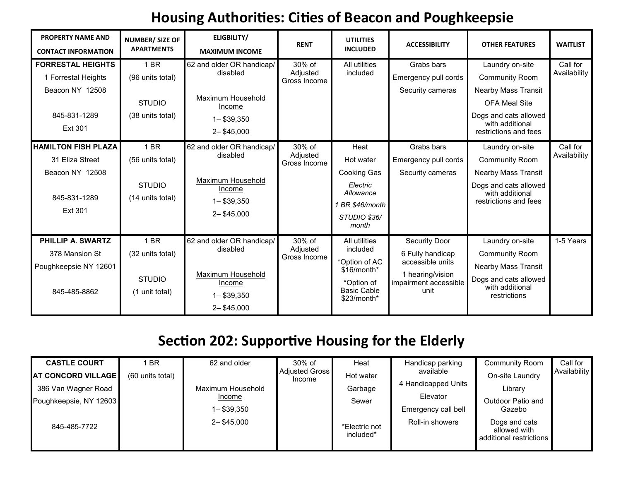#### **Housing Authorities: Cities of Beacon and Poughkeepsie**

| <b>PROPERTY NAME AND</b><br><b>CONTACT INFORMATION</b>                                               | NUMBER/ SIZE OF<br><b>APARTMENTS</b>                          | ELIGBILITY/<br><b>MAXIMUM INCOME</b>                                                                   | <b>RENT</b>                        | <b>UTILITIES</b><br><b>INCLUDED</b>                                                                          | <b>ACCESSIBILITY</b>                                                                                              | <b>OTHER FEATURES</b>                                                                                                                                               | <b>WAITLIST</b>          |
|------------------------------------------------------------------------------------------------------|---------------------------------------------------------------|--------------------------------------------------------------------------------------------------------|------------------------------------|--------------------------------------------------------------------------------------------------------------|-------------------------------------------------------------------------------------------------------------------|---------------------------------------------------------------------------------------------------------------------------------------------------------------------|--------------------------|
| <b>FORRESTAL HEIGHTS</b><br>1 Forrestal Heights<br>Beacon NY 12508<br>845-831-1289<br><b>Ext 301</b> | 1 BR<br>(96 units total)<br><b>STUDIO</b><br>(38 units total) | 62 and older OR handicap/<br>disabled<br>Maximum Household<br>Income<br>$1 - $39,350$<br>$2 - $45,000$ | 30% of<br>Adjusted<br>Gross Income | All utilities<br>included                                                                                    | Grabs bars<br>Emergency pull cords<br>Security cameras                                                            | Laundry on-site<br><b>Community Room</b><br><b>Nearby Mass Transit</b><br><b>OFA Meal Site</b><br>Dogs and cats allowed<br>with additional<br>restrictions and fees | Call for<br>Availability |
| <b>HAMILTON FISH PLAZA</b><br>31 Eliza Street<br>Beacon NY 12508<br>845-831-1289<br><b>Ext 301</b>   | 1 BR<br>(56 units total)<br><b>STUDIO</b><br>(14 units total) | 62 and older OR handicap/<br>disabled<br>Maximum Household<br>Income<br>$1 - $39,350$<br>$2 - $45,000$ | 30% of<br>Adjusted<br>Gross Income | Heat<br>Hot water<br>Cooking Gas<br>Electric<br>Allowance<br>1 BR \$46/month<br>STUDIO \$36/<br>month        | Grabs bars<br>Emergency pull cords<br>Security cameras                                                            | Laundry on-site<br><b>Community Room</b><br><b>Nearby Mass Transit</b><br>Dogs and cats allowed<br>with additional<br>restrictions and fees                         | Call for<br>Availability |
| PHILLIP A. SWARTZ<br>378 Mansion St<br>Poughkeepsie NY 12601<br>845-485-8862                         | 1 BR<br>(32 units total)<br><b>STUDIO</b><br>(1 unit total)   | 62 and older OR handicap/<br>disabled<br>Maximum Household<br>Income<br>$1 - $39,350$<br>$2 - $45,000$ | 30% of<br>Adjusted<br>Gross Income | All utilities<br>included<br>*Option of AC<br>\$16/month*<br>*Option of<br><b>Basic Cable</b><br>\$23/month* | <b>Security Door</b><br>6 Fully handicap<br>accessible units<br>1 hearing/vision<br>impairment accessible<br>unit | Laundry on-site<br><b>Community Room</b><br><b>Nearby Mass Transit</b><br>Dogs and cats allowed<br>with additional<br>restrictions                                  | 1-5 Years                |

#### **Section 202: Supportive Housing for the Elderly**

| <b>CASTLE COURT</b>       | <b>BR</b>        | 62 and older      | 30% of                          | Heat                       | Handicap parking    | <b>Community Room</b>                                    | Call for     |
|---------------------------|------------------|-------------------|---------------------------------|----------------------------|---------------------|----------------------------------------------------------|--------------|
| <b>AT CONCORD VILLAGE</b> | (60 units total) |                   | <b>Adjusted Gross</b><br>Income | Hot water                  | available           | On-site Laundry                                          | Availability |
| 386 Van Wagner Road       |                  | Maximum Household |                                 | Garbage                    | 4 Handicapped Units | Library                                                  |              |
| Poughkeepsie, NY 12603    |                  | Income            |                                 | Sewer                      | Elevator            | Outdoor Patio and                                        |              |
|                           |                  | 1-\$39,350        |                                 |                            | Emergency call bell | Gazebo                                                   |              |
| 845-485-7722              |                  | $2 - $45,000$     |                                 | *Electric not<br>included* | Roll-in showers     | Dogs and cats<br>allowed with<br>additional restrictions |              |